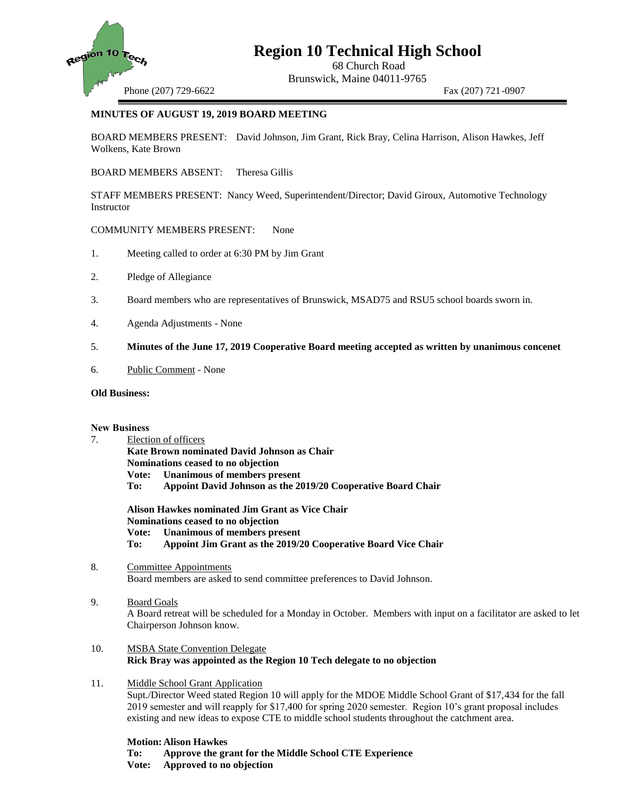

# **Region 10 Technical High School**

68 Church Road Brunswick, Maine 04011-9765

Phone (207) 729-6622 Fax (207) 721-0907

## **MINUTES OF AUGUST 19, 2019 BOARD MEETING**

BOARD MEMBERS PRESENT: David Johnson, Jim Grant, Rick Bray, Celina Harrison, Alison Hawkes, Jeff Wolkens, Kate Brown

BOARD MEMBERS ABSENT: Theresa Gillis

STAFF MEMBERS PRESENT: Nancy Weed, Superintendent/Director; David Giroux, Automotive Technology **Instructor** 

COMMUNITY MEMBERS PRESENT: None

- 1. Meeting called to order at 6:30 PM by Jim Grant
- 2. Pledge of Allegiance
- 3. Board members who are representatives of Brunswick, MSAD75 and RSU5 school boards sworn in.
- 4. Agenda Adjustments None

### 5. **Minutes of the June 17, 2019 Cooperative Board meeting accepted as written by unanimous concenet**

6. Public Comment - None

#### **Old Business:**

#### **New Business**

7. Election of officers **Kate Brown nominated David Johnson as Chair Nominations ceased to no objection Vote: Unanimous of members present To: Appoint David Johnson as the 2019/20 Cooperative Board Chair**

**Alison Hawkes nominated Jim Grant as Vice Chair Nominations ceased to no objection Vote: Unanimous of members present To: Appoint Jim Grant as the 2019/20 Cooperative Board Vice Chair**

- 8. Committee Appointments Board members are asked to send committee preferences to David Johnson.
- 9. Board Goals

A Board retreat will be scheduled for a Monday in October. Members with input on a facilitator are asked to let Chairperson Johnson know.

- 10. MSBA State Convention Delegate **Rick Bray was appointed as the Region 10 Tech delegate to no objection**
- 11. Middle School Grant Application Supt./Director Weed stated Region 10 will apply for the MDOE Middle School Grant of \$17,434 for the fall 2019 semester and will reapply for \$17,400 for spring 2020 semester. Region 10's grant proposal includes existing and new ideas to expose CTE to middle school students throughout the catchment area.

**Motion: Alison Hawkes**

- **To: Approve the grant for the Middle School CTE Experience**
- **Vote: Approved to no objection**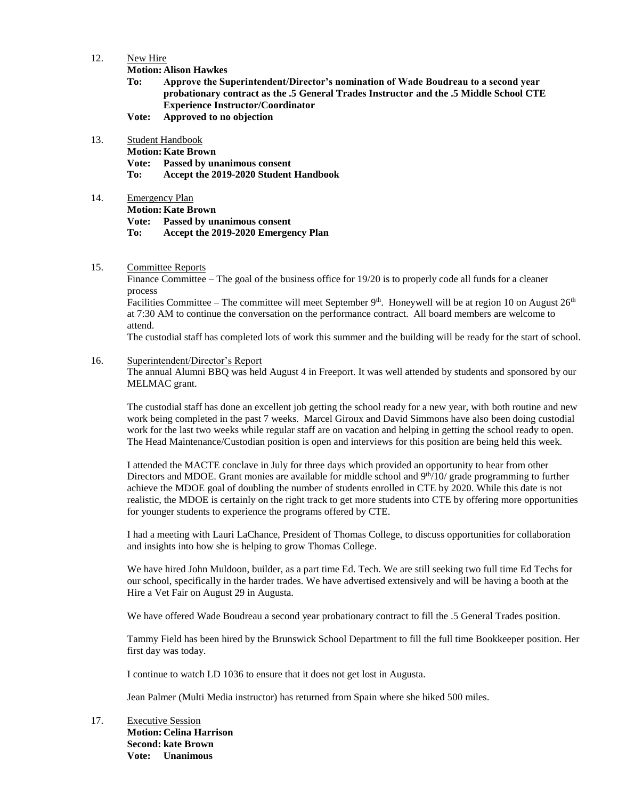12. New Hire

**Motion: Alison Hawkes**

- **To: Approve the Superintendent/Director's nomination of Wade Boudreau to a second year probationary contract as the .5 General Trades Instructor and the .5 Middle School CTE Experience Instructor/Coordinator**
- **Vote: Approved to no objection**
- 13. Student Handbook

**Motion: Kate Brown Vote: Passed by unanimous consent To: Accept the 2019-2020 Student Handbook**

14. Emergency Plan **Motion: Kate Brown Vote: Passed by unanimous consent To: Accept the 2019-2020 Emergency Plan** 

15. Committee Reports

Finance Committee – The goal of the business office for 19/20 is to properly code all funds for a cleaner process

Facilities Committee – The committee will meet September 9<sup>th</sup>. Honeywell will be at region 10 on August  $26<sup>th</sup>$ at 7:30 AM to continue the conversation on the performance contract. All board members are welcome to attend.

The custodial staff has completed lots of work this summer and the building will be ready for the start of school.

16. Superintendent/Director's Report

The annual Alumni BBQ was held August 4 in Freeport. It was well attended by students and sponsored by our MELMAC grant.

The custodial staff has done an excellent job getting the school ready for a new year, with both routine and new work being completed in the past 7 weeks. Marcel Giroux and David Simmons have also been doing custodial work for the last two weeks while regular staff are on vacation and helping in getting the school ready to open. The Head Maintenance/Custodian position is open and interviews for this position are being held this week.

I attended the MACTE conclave in July for three days which provided an opportunity to hear from other Directors and MDOE. Grant monies are available for middle school and  $9<sup>th</sup>/10$ / grade programming to further achieve the MDOE goal of doubling the number of students enrolled in CTE by 2020. While this date is not realistic, the MDOE is certainly on the right track to get more students into CTE by offering more opportunities for younger students to experience the programs offered by CTE.

I had a meeting with Lauri LaChance, President of Thomas College, to discuss opportunities for collaboration and insights into how she is helping to grow Thomas College.

We have hired John Muldoon, builder, as a part time Ed. Tech. We are still seeking two full time Ed Techs for our school, specifically in the harder trades. We have advertised extensively and will be having a booth at the Hire a Vet Fair on August 29 in Augusta.

We have offered Wade Boudreau a second year probationary contract to fill the .5 General Trades position.

Tammy Field has been hired by the Brunswick School Department to fill the full time Bookkeeper position. Her first day was today.

I continue to watch LD 1036 to ensure that it does not get lost in Augusta.

Jean Palmer (Multi Media instructor) has returned from Spain where she hiked 500 miles.

17. Executive Session **Motion: Celina Harrison Second: kate Brown Vote: Unanimous**